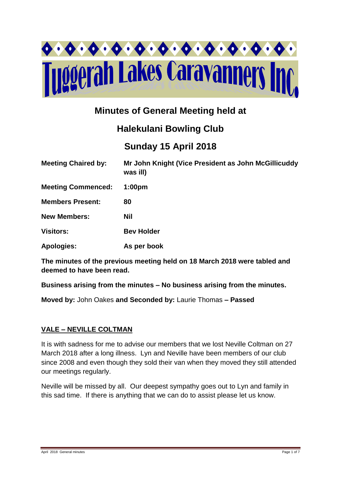

# **Minutes of General Meeting held at**

# **Halekulani Bowling Club**

# **Sunday 15 April 2018**

| <b>Meeting Chaired by:</b> | Mr John Knight (Vice President as John McGillicuddy<br>was ill) |
|----------------------------|-----------------------------------------------------------------|
| <b>Meeting Commenced:</b>  | 1:00 <sub>pm</sub>                                              |
| <b>Members Present:</b>    | 80                                                              |
| <b>New Members:</b>        | <b>Nil</b>                                                      |
| <b>Visitors:</b>           | <b>Bev Holder</b>                                               |
| <b>Apologies:</b>          | As per book                                                     |

**The minutes of the previous meeting held on 18 March 2018 were tabled and deemed to have been read.**

**Business arising from the minutes – No business arising from the minutes.**

**Moved by:** John Oakes **and Seconded by:** Laurie Thomas **– Passed** 

## **VALE – NEVILLE COLTMAN**

It is with sadness for me to advise our members that we lost Neville Coltman on 27 March 2018 after a long illness. Lyn and Neville have been members of our club since 2008 and even though they sold their van when they moved they still attended our meetings regularly.

Neville will be missed by all. Our deepest sympathy goes out to Lyn and family in this sad time. If there is anything that we can do to assist please let us know.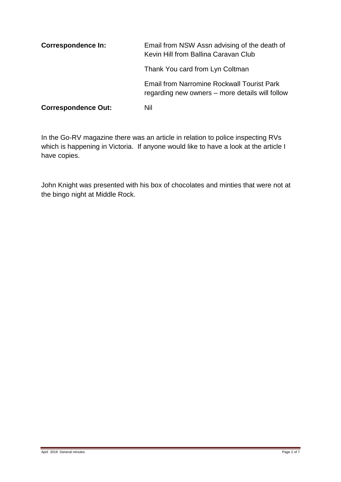| <b>Correspondence In:</b>  | Email from NSW Assn advising of the death of<br>Kevin Hill from Ballina Caravan Club                 |
|----------------------------|------------------------------------------------------------------------------------------------------|
|                            | Thank You card from Lyn Coltman                                                                      |
|                            | <b>Email from Narromine Rockwall Tourist Park</b><br>regarding new owners – more details will follow |
| <b>Correspondence Out:</b> | Nil                                                                                                  |

In the Go-RV magazine there was an article in relation to police inspecting RVs which is happening in Victoria. If anyone would like to have a look at the article I have copies.

John Knight was presented with his box of chocolates and minties that were not at the bingo night at Middle Rock.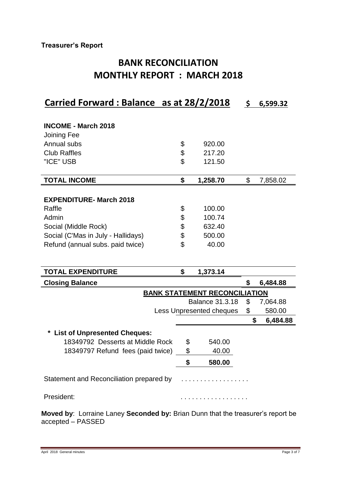## **Treasurer's Report**

# **BANK RECONCILIATION MONTHLY REPORT : MARCH 2018**

# **Carried Forward : Balance as at 28/2/2018 \$ 6,599.32**

| <b>INCOME - March 2018</b>                                              |                                      |                |
|-------------------------------------------------------------------------|--------------------------------------|----------------|
| Joining Fee                                                             |                                      |                |
| Annual subs                                                             | \$<br>920.00                         |                |
| <b>Club Raffles</b>                                                     | \$<br>217.20                         |                |
| "ICE" USB                                                               | \$<br>121.50                         |                |
| <b>TOTAL INCOME</b>                                                     | \$<br>1,258.70                       | \$<br>7,858.02 |
|                                                                         |                                      |                |
| <b>EXPENDITURE- March 2018</b>                                          |                                      |                |
| Raffle                                                                  | \$<br>100.00                         |                |
| Admin                                                                   | \$<br>100.74                         |                |
| Social (Middle Rock)                                                    | \$<br>632.40                         |                |
| Social (C'Mas in July - Hallidays)                                      | \$<br>500.00                         |                |
| Refund (annual subs. paid twice)                                        | \$<br>40.00                          |                |
|                                                                         |                                      |                |
| <b>TOTAL EXPENDITURE</b>                                                | \$<br>1,373.14                       |                |
|                                                                         |                                      |                |
| <b>Closing Balance</b>                                                  |                                      | \$<br>6,484.88 |
|                                                                         | <b>BANK STATEMENT RECONCILIATION</b> |                |
|                                                                         | <b>Balance 31.3.18</b>               | \$<br>7,064.88 |
|                                                                         | Less Unpresented cheques             | \$<br>580.00   |
|                                                                         |                                      | \$<br>6,484.88 |
|                                                                         |                                      |                |
| <b>List of Unpresented Cheques:</b><br>18349792 Desserts at Middle Rock | 540.00                               |                |
|                                                                         | \$                                   |                |
| 18349797 Refund fees (paid twice)                                       | \$<br>40.00                          |                |
|                                                                         | \$<br>580.00                         |                |
| Statement and Reconciliation prepared by                                |                                      |                |

**Moved by**: Lorraine Laney **Seconded by:** Brian Dunn that the treasurer's report be accepted – PASSED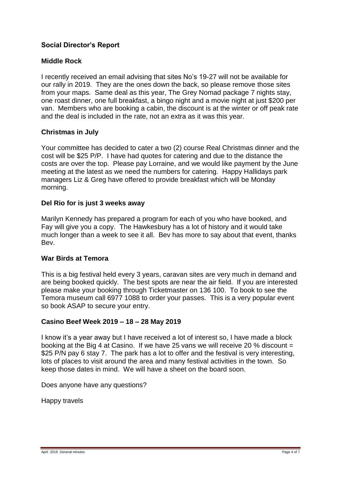## **Social Director's Report**

### **Middle Rock**

I recently received an email advising that sites No's 19-27 will not be available for our rally in 2019. They are the ones down the back, so please remove those sites from your maps. Same deal as this year, The Grey Nomad package 7 nights stay, one roast dinner, one full breakfast, a bingo night and a movie night at just \$200 per van. Members who are booking a cabin, the discount is at the winter or off peak rate and the deal is included in the rate, not an extra as it was this year.

### **Christmas in July**

Your committee has decided to cater a two (2) course Real Christmas dinner and the cost will be \$25 P/P. I have had quotes for catering and due to the distance the costs are over the top. Please pay Lorraine, and we would like payment by the June meeting at the latest as we need the numbers for catering. Happy Hallidays park managers Liz & Greg have offered to provide breakfast which will be Monday morning.

### **Del Rio for is just 3 weeks away**

Marilyn Kennedy has prepared a program for each of you who have booked, and Fay will give you a copy. The Hawkesbury has a lot of history and it would take much longer than a week to see it all. Bev has more to say about that event, thanks Bev.

#### **War Birds at Temora**

This is a big festival held every 3 years, caravan sites are very much in demand and are being booked quickly. The best spots are near the air field. If you are interested please make your booking through Ticketmaster on 136 100. To book to see the Temora museum call 6977 1088 to order your passes. This is a very popular event so book ASAP to secure your entry.

#### **Casino Beef Week 2019 – 18 – 28 May 2019**

I know it's a year away but I have received a lot of interest so, I have made a block booking at the Big 4 at Casino. If we have 25 vans we will receive 20 % discount = \$25 P/N pay 6 stay 7. The park has a lot to offer and the festival is very interesting, lots of places to visit around the area and many festival activities in the town. So keep those dates in mind. We will have a sheet on the board soon.

Does anyone have any questions?

Happy travels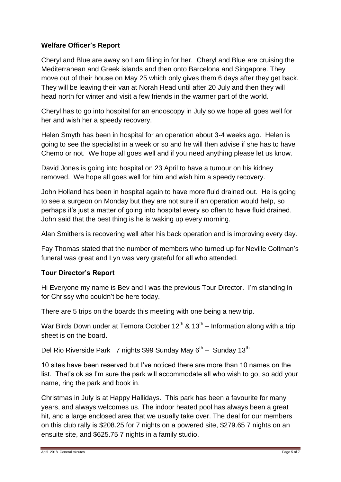## **Welfare Officer's Report**

Cheryl and Blue are away so I am filling in for her. Cheryl and Blue are cruising the Mediterranean and Greek islands and then onto Barcelona and Singapore. They move out of their house on May 25 which only gives them 6 days after they get back. They will be leaving their van at Norah Head until after 20 July and then they will head north for winter and visit a few friends in the warmer part of the world.

Cheryl has to go into hospital for an endoscopy in July so we hope all goes well for her and wish her a speedy recovery.

Helen Smyth has been in hospital for an operation about 3-4 weeks ago. Helen is going to see the specialist in a week or so and he will then advise if she has to have Chemo or not. We hope all goes well and if you need anything please let us know.

David Jones is going into hospital on 23 April to have a tumour on his kidney removed. We hope all goes well for him and wish him a speedy recovery.

John Holland has been in hospital again to have more fluid drained out. He is going to see a surgeon on Monday but they are not sure if an operation would help, so perhaps it's just a matter of going into hospital every so often to have fluid drained. John said that the best thing is he is waking up every morning.

Alan Smithers is recovering well after his back operation and is improving every day.

Fay Thomas stated that the number of members who turned up for Neville Coltman's funeral was great and Lyn was very grateful for all who attended.

## **Tour Director's Report**

Hi Everyone my name is Bev and I was the previous Tour Director. I'm standing in for Chrissy who couldn't be here today.

There are 5 trips on the boards this meeting with one being a new trip.

War Birds Down under at Temora October 12<sup>th</sup> & 13<sup>th</sup> – Information along with a trip sheet is on the board.

Del Rio Riverside Park 7 nights \$99 Sunday May  $6^{th}$  – Sunday 13<sup>th</sup>

10 sites have been reserved but I've noticed there are more than 10 names on the list. That's ok as I'm sure the park will accommodate all who wish to go, so add your name, ring the park and book in.

Christmas in July is at Happy Hallidays. This park has been a favourite for many years, and always welcomes us. The indoor heated pool has always been a great hit, and a large enclosed area that we usually take over. The deal for our members on this club rally is \$208.25 for 7 nights on a powered site, \$279.65 7 nights on an ensuite site, and \$625.75 7 nights in a family studio.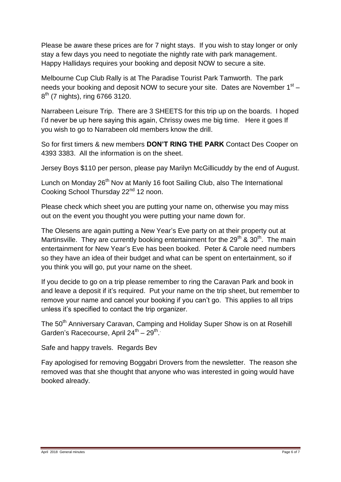Please be aware these prices are for 7 night stays. If you wish to stay longer or only stay a few days you need to negotiate the nightly rate with park management. Happy Hallidays requires your booking and deposit NOW to secure a site.

Melbourne Cup Club Rally is at The Paradise Tourist Park Tamworth. The park needs your booking and deposit NOW to secure your site. Dates are November 1<sup>st</sup> -8<sup>th</sup> (7 nights), ring 6766 3120.

Narrabeen Leisure Trip. There are 3 SHEETS for this trip up on the boards. I hoped I'd never be up here saying this again, Chrissy owes me big time. Here it goes If you wish to go to Narrabeen old members know the drill.

So for first timers & new members **DON'T RING THE PARK** Contact Des Cooper on 4393 3383. All the information is on the sheet.

Jersey Boys \$110 per person, please pay Marilyn McGillicuddy by the end of August.

Lunch on Monday 26<sup>th</sup> Nov at Manly 16 foot Sailing Club, also The International Cooking School Thursday 22<sup>nd</sup> 12 noon.

Please check which sheet you are putting your name on, otherwise you may miss out on the event you thought you were putting your name down for.

The Olesens are again putting a New Year's Eve party on at their property out at Martinsville. They are currently booking entertainment for the  $29<sup>th</sup>$  &  $30<sup>th</sup>$ . The main entertainment for New Year's Eve has been booked. Peter & Carole need numbers so they have an idea of their budget and what can be spent on entertainment, so if you think you will go, put your name on the sheet.

If you decide to go on a trip please remember to ring the Caravan Park and book in and leave a deposit if it's required. Put your name on the trip sheet, but remember to remove your name and cancel your booking if you can't go. This applies to all trips unless it's specified to contact the trip organizer.

The 50<sup>th</sup> Anniversary Caravan, Camping and Holiday Super Show is on at Rosehill Garden's Racecourse, April 24<sup>th</sup> – 29<sup>th</sup>.

Safe and happy travels. Regards Bev

Fay apologised for removing Boggabri Drovers from the newsletter. The reason she removed was that she thought that anyone who was interested in going would have booked already.